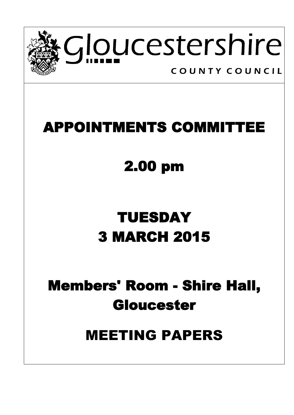

### **APPOINTMENTS COMMITTEE**

# **2.00 pm**

# **TUESDAY 3 MARCH 2015**

### **Members' Room - Shire Hall, Gloucester**

### MEETING PAPERS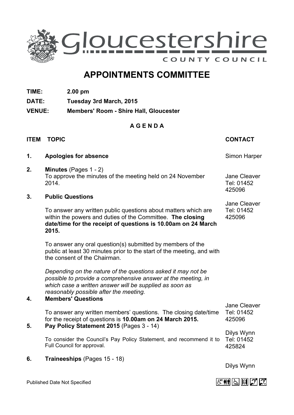

### **APPOINTMENTS COMMITTEE**

- **TIME: 2.00 pm**
- **DATE: Tuesday 3rd March, 2015**
- **VENUE: Members' Room - Shire Hall, Gloucester**

#### **A G E N D A**

#### **ITEM TOPIC CONTACT**

Jane Cleaver Tel: 01452 425096

Jane Cleaver Tel: 01452 425096

- **1. Apologies for absence Simon Harper** Simon Harper
- **2. Minutes** (Pages 1 2) To approve the minutes of the meeting held on 24 November 2014.

#### **3. Public Questions**

To answer any written public questions about matters which are within the powers and duties of the Committee. **The closing date/time for the receipt of questions is 10.00am on 24 March 2015.**

To answer any oral question(s) submitted by members of the public at least 30 minutes prior to the start of the meeting, and with the consent of the Chairman.

*Depending on the nature of the questions asked it may not be possible to provide a comprehensive answer at the meeting, in which case a written answer will be supplied as soon as reasonably possible after the meeting.*

#### **4. Members' Questions**

To answer any written members' questions. The closing date/time for the receipt of questions is **10.00am on 24 March 2015.** Tel: 01452 425096

#### **5. Pay Policy Statement 2015** (Pages 3 - 14)

To consider the Council's Pay Policy Statement, and recommend it to Full Council for approval. Tel: 01452 425824

**6. Traineeships** (Pages 15 - 18)

Dilys Wynn

Dilys Wynn

Jane Cleaver

Published Date Not Specified

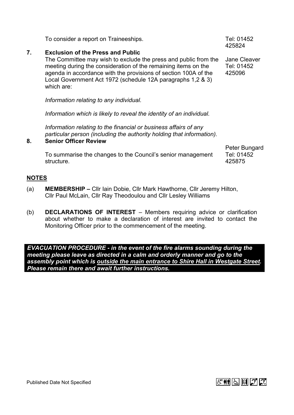|    |                                                                                                                                                                                                                                                                                                                               | 425824                               |
|----|-------------------------------------------------------------------------------------------------------------------------------------------------------------------------------------------------------------------------------------------------------------------------------------------------------------------------------|--------------------------------------|
| 7. | <b>Exclusion of the Press and Public</b><br>The Committee may wish to exclude the press and public from the<br>meeting during the consideration of the remaining items on the<br>agenda in accordance with the provisions of section 100A of the<br>Local Government Act 1972 (schedule 12A paragraphs 1,2 & 3)<br>which are: | Jane Cleaver<br>Tel: 01452<br>425096 |
|    | Information relating to any individual.                                                                                                                                                                                                                                                                                       |                                      |
|    | Information which is likely to reveal the identity of an individual.                                                                                                                                                                                                                                                          |                                      |
| 8. | Information relating to the financial or business affairs of any<br>particular person (including the authority holding that information).<br><b>Senior Officer Review</b>                                                                                                                                                     |                                      |
|    |                                                                                                                                                                                                                                                                                                                               | Peter Bungard                        |

To consider a report on Traineeships. The matrix of the Tel: 01452

To summarise the changes to the Council's senior management structure.

Tel: 01452 425875

 $-258$ 

### **NOTES**

- (a) **MEMBERSHIP –** Cllr Iain Dobie, Cllr Mark Hawthorne, Cllr Jeremy Hilton, Cllr Paul McLain, Cllr Ray Theodoulou and Cllr Lesley Williams
- (b) **DECLARATIONS OF INTEREST** Members requiring advice or clarification about whether to make a declaration of interest are invited to contact the Monitoring Officer prior to the commencement of the meeting.

*EVACUATION PROCEDURE - in the event of the fire alarms sounding during the meeting please leave as directed in a calm and orderly manner and go to the assembly point which is outside the main entrance to Shire Hall in Westgate Street. Please remain there and await further instructions.*